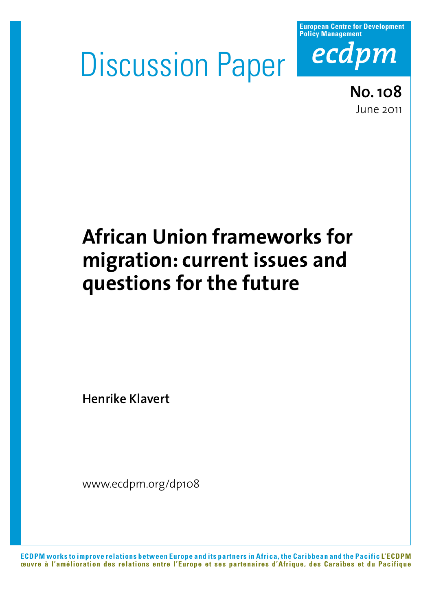# Discussion Paper



**No. 108** June 2011

## **African Union frameworks for migration: current issues and questions for the future**

**Henrike Klavert**

www.ecdpm.org/dp108

**ECDPM works to improve relations between Europe and its partners in Africa, the Caribbean and the Pacific L'ECDPM œuvre à l'amélioration des relations entre l'Europe et ses partenaires d'Afrique, des Caraïbes et du Pacifique**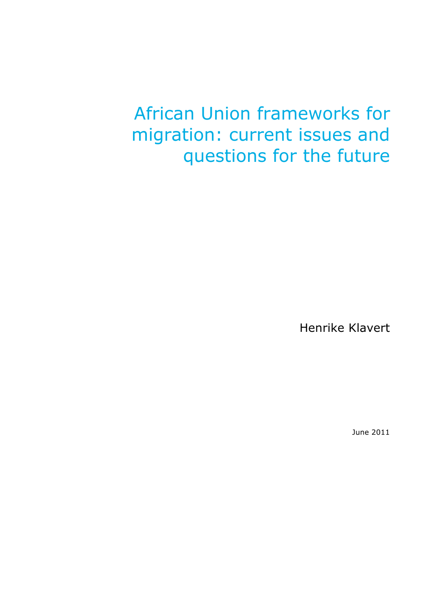## African Union frameworks for migration: current issues and questions for the future

Henrike Klavert

June 2011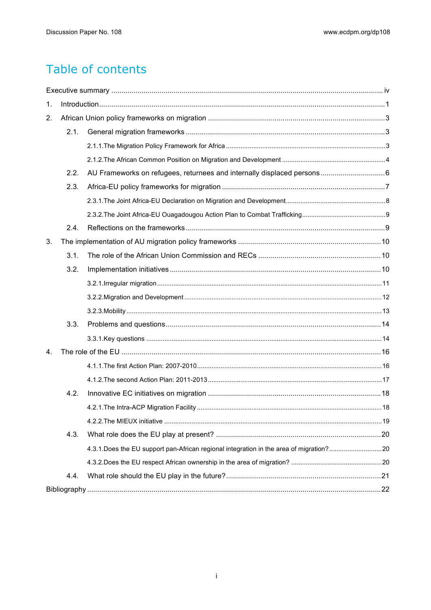## Table of contents

| 1. |      |  |  |  |  |  |  |
|----|------|--|--|--|--|--|--|
| 2. |      |  |  |  |  |  |  |
|    | 2.1. |  |  |  |  |  |  |
|    |      |  |  |  |  |  |  |
|    |      |  |  |  |  |  |  |
|    | 2.2. |  |  |  |  |  |  |
|    | 2.3. |  |  |  |  |  |  |
|    |      |  |  |  |  |  |  |
|    |      |  |  |  |  |  |  |
|    | 2.4. |  |  |  |  |  |  |
| 3. |      |  |  |  |  |  |  |
|    | 3.1. |  |  |  |  |  |  |
|    | 3.2. |  |  |  |  |  |  |
|    |      |  |  |  |  |  |  |
|    |      |  |  |  |  |  |  |
|    |      |  |  |  |  |  |  |
|    | 3.3. |  |  |  |  |  |  |
|    |      |  |  |  |  |  |  |
| 4. |      |  |  |  |  |  |  |
|    |      |  |  |  |  |  |  |
|    |      |  |  |  |  |  |  |
|    | 4.2. |  |  |  |  |  |  |
|    |      |  |  |  |  |  |  |
|    |      |  |  |  |  |  |  |
|    | 4.3. |  |  |  |  |  |  |
|    |      |  |  |  |  |  |  |
|    |      |  |  |  |  |  |  |
|    | 4.4. |  |  |  |  |  |  |
|    |      |  |  |  |  |  |  |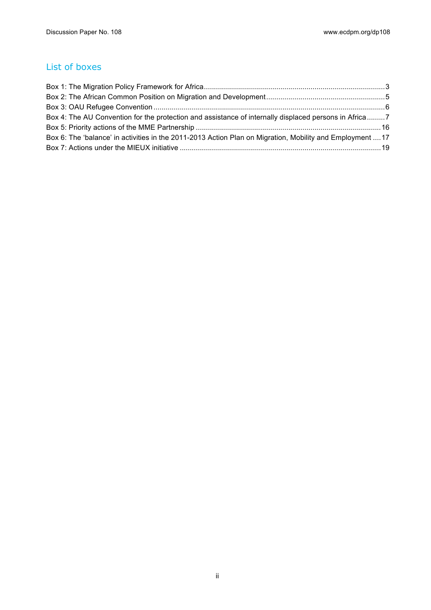#### List of boxes

| Box 4: The AU Convention for the protection and assistance of internally displaced persons in Africa7     |  |
|-----------------------------------------------------------------------------------------------------------|--|
|                                                                                                           |  |
| Box 6: The 'balance' in activities in the 2011-2013 Action Plan on Migration, Mobility and Employment  17 |  |
|                                                                                                           |  |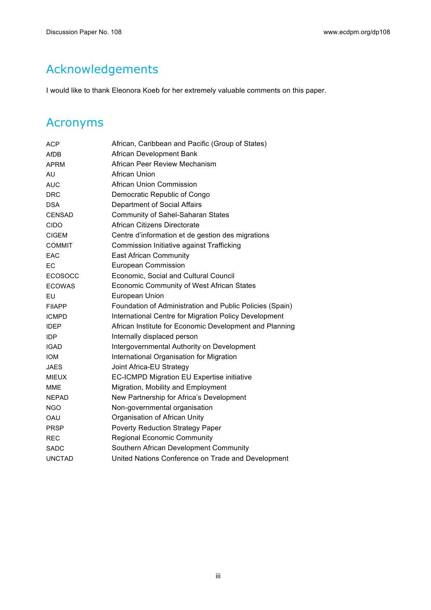## Acknowledgements

I would like to thank Eleonora Koeb for her extremely valuable comments on this paper.

## Acronyms

| ACP            | African, Caribbean and Pacific (Group of States)         |
|----------------|----------------------------------------------------------|
| AfDB           | African Development Bank                                 |
| <b>APRM</b>    | African Peer Review Mechanism                            |
| AU             | African Union                                            |
| <b>AUC</b>     | <b>African Union Commission</b>                          |
| <b>DRC</b>     | Democratic Republic of Congo                             |
| <b>DSA</b>     | Department of Social Affairs                             |
| <b>CENSAD</b>  | Community of Sahel-Saharan States                        |
| <b>CIDO</b>    | African Citizens Directorate                             |
| <b>CIGEM</b>   | Centre d'information et de gestion des migrations        |
| <b>COMMIT</b>  | Commission Initiative against Trafficking                |
| EAC            | <b>East African Community</b>                            |
| EC             | European Commission                                      |
| <b>ECOSOCC</b> | Economic, Social and Cultural Council                    |
| <b>ECOWAS</b>  | Economic Community of West African States                |
| EU             | European Union                                           |
| <b>FIIAPP</b>  | Foundation of Administration and Public Policies (Spain) |
| <b>ICMPD</b>   | International Centre for Migration Policy Development    |
| <b>IDEP</b>    | African Institute for Economic Development and Planning  |
| <b>IDP</b>     | Internally displaced person                              |
| <b>IGAD</b>    | Intergovernmental Authority on Development               |
| <b>IOM</b>     | International Organisation for Migration                 |
| <b>JAES</b>    | Joint Africa-EU Strategy                                 |
| <b>MIEUX</b>   | <b>EC-ICMPD Migration EU Expertise initiative</b>        |
| <b>MME</b>     | Migration, Mobility and Employment                       |
| <b>NEPAD</b>   | New Partnership for Africa's Development                 |
| <b>NGO</b>     | Non-governmental organisation                            |
| OAU            | Organisation of African Unity                            |
| <b>PRSP</b>    | <b>Poverty Reduction Strategy Paper</b>                  |
| <b>REC</b>     | <b>Regional Economic Community</b>                       |
| <b>SADC</b>    | Southern African Development Community                   |
| <b>UNCTAD</b>  | United Nations Conference on Trade and Development       |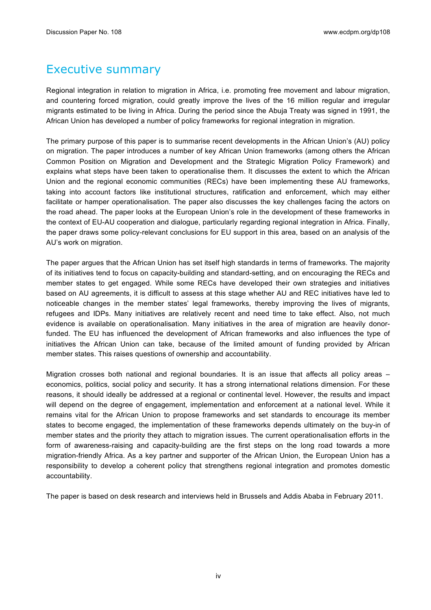### Executive summary

Regional integration in relation to migration in Africa, i.e. promoting free movement and labour migration, and countering forced migration, could greatly improve the lives of the 16 million regular and irregular migrants estimated to be living in Africa. During the period since the Abuja Treaty was signed in 1991, the African Union has developed a number of policy frameworks for regional integration in migration.

The primary purpose of this paper is to summarise recent developments in the African Union's (AU) policy on migration. The paper introduces a number of key African Union frameworks (among others the African Common Position on Migration and Development and the Strategic Migration Policy Framework) and explains what steps have been taken to operationalise them. It discusses the extent to which the African Union and the regional economic communities (RECs) have been implementing these AU frameworks, taking into account factors like institutional structures, ratification and enforcement, which may either facilitate or hamper operationalisation. The paper also discusses the key challenges facing the actors on the road ahead. The paper looks at the European Union's role in the development of these frameworks in the context of EU-AU cooperation and dialogue, particularly regarding regional integration in Africa. Finally, the paper draws some policy-relevant conclusions for EU support in this area, based on an analysis of the AU's work on migration.

The paper argues that the African Union has set itself high standards in terms of frameworks. The majority of its initiatives tend to focus on capacity-building and standard-setting, and on encouraging the RECs and member states to get engaged. While some RECs have developed their own strategies and initiatives based on AU agreements, it is difficult to assess at this stage whether AU and REC initiatives have led to noticeable changes in the member states' legal frameworks, thereby improving the lives of migrants, refugees and IDPs. Many initiatives are relatively recent and need time to take effect. Also, not much evidence is available on operationalisation. Many initiatives in the area of migration are heavily donorfunded. The EU has influenced the development of African frameworks and also influences the type of initiatives the African Union can take, because of the limited amount of funding provided by African member states. This raises questions of ownership and accountability.

Migration crosses both national and regional boundaries. It is an issue that affects all policy areas – economics, politics, social policy and security. It has a strong international relations dimension. For these reasons, it should ideally be addressed at a regional or continental level. However, the results and impact will depend on the degree of engagement, implementation and enforcement at a national level. While it remains vital for the African Union to propose frameworks and set standards to encourage its member states to become engaged, the implementation of these frameworks depends ultimately on the buy-in of member states and the priority they attach to migration issues. The current operationalisation efforts in the form of awareness-raising and capacity-building are the first steps on the long road towards a more migration-friendly Africa. As a key partner and supporter of the African Union, the European Union has a responsibility to develop a coherent policy that strengthens regional integration and promotes domestic accountability.

The paper is based on desk research and interviews held in Brussels and Addis Ababa in February 2011.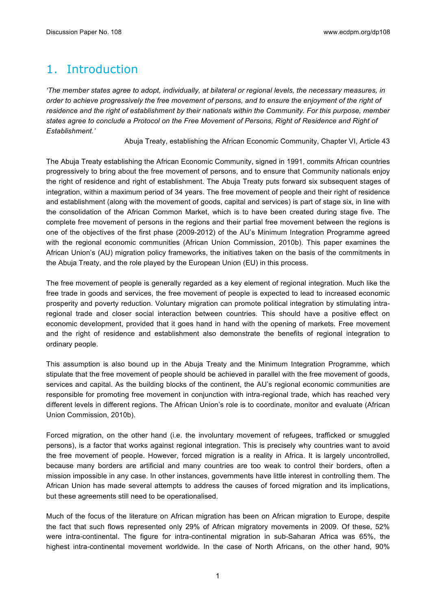## 1. Introduction

*'The member states agree to adopt, individually, at bilateral or regional levels, the necessary measures, in order to achieve progressively the free movement of persons, and to ensure the enjoyment of the right of residence and the right of establishment by their nationals within the Community. For this purpose, member states agree to conclude a Protocol on the Free Movement of Persons, Right of Residence and Right of Establishment.'*

Abuja Treaty, establishing the African Economic Community, Chapter VI, Article 43

The Abuja Treaty establishing the African Economic Community, signed in 1991, commits African countries progressively to bring about the free movement of persons, and to ensure that Community nationals enjoy the right of residence and right of establishment. The Abuja Treaty puts forward six subsequent stages of integration, within a maximum period of 34 years. The free movement of people and their right of residence and establishment (along with the movement of goods, capital and services) is part of stage six, in line with the consolidation of the African Common Market, which is to have been created during stage five. The complete free movement of persons in the regions and their partial free movement between the regions is one of the objectives of the first phase (2009-2012) of the AU's Minimum Integration Programme agreed with the regional economic communities (African Union Commission, 2010b). This paper examines the African Union's (AU) migration policy frameworks, the initiatives taken on the basis of the commitments in the Abuja Treaty, and the role played by the European Union (EU) in this process.

The free movement of people is generally regarded as a key element of regional integration. Much like the free trade in goods and services, the free movement of people is expected to lead to increased economic prosperity and poverty reduction. Voluntary migration can promote political integration by stimulating intraregional trade and closer social interaction between countries. This should have a positive effect on economic development, provided that it goes hand in hand with the opening of markets. Free movement and the right of residence and establishment also demonstrate the benefits of regional integration to ordinary people.

This assumption is also bound up in the Abuja Treaty and the Minimum Integration Programme, which stipulate that the free movement of people should be achieved in parallel with the free movement of goods, services and capital. As the building blocks of the continent, the AU's regional economic communities are responsible for promoting free movement in conjunction with intra-regional trade, which has reached very different levels in different regions. The African Union's role is to coordinate, monitor and evaluate (African Union Commission, 2010b).

Forced migration, on the other hand (i.e. the involuntary movement of refugees, trafficked or smuggled persons), is a factor that works against regional integration. This is precisely why countries want to avoid the free movement of people. However, forced migration is a reality in Africa. It is largely uncontrolled, because many borders are artificial and many countries are too weak to control their borders, often a mission impossible in any case. In other instances, governments have little interest in controlling them. The African Union has made several attempts to address the causes of forced migration and its implications, but these agreements still need to be operationalised.

Much of the focus of the literature on African migration has been on African migration to Europe, despite the fact that such flows represented only 29% of African migratory movements in 2009. Of these, 52% were intra-continental. The figure for intra-continental migration in sub-Saharan Africa was 65%, the highest intra-continental movement worldwide. In the case of North Africans, on the other hand, 90%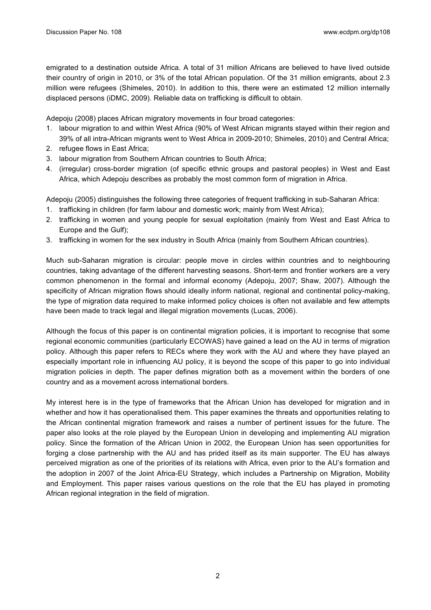emigrated to a destination outside Africa. A total of 31 million Africans are believed to have lived outside their country of origin in 2010, or 3% of the total African population. Of the 31 million emigrants, about 2.3 million were refugees (Shimeles, 2010). In addition to this, there were an estimated 12 million internally displaced persons (iDMC, 2009). Reliable data on trafficking is difficult to obtain.

Adepoju (2008) places African migratory movements in four broad categories:

- 1. labour migration to and within West Africa (90% of West African migrants stayed within their region and 39% of all intra-African migrants went to West Africa in 2009-2010; Shimeles, 2010) and Central Africa;
- 2. refugee flows in East Africa;
- 3. labour migration from Southern African countries to South Africa;
- 4. (irregular) cross-border migration (of specific ethnic groups and pastoral peoples) in West and East Africa, which Adepoju describes as probably the most common form of migration in Africa.

Adepoju (2005) distinguishes the following three categories of frequent trafficking in sub-Saharan Africa:

- 1. trafficking in children (for farm labour and domestic work; mainly from West Africa);
- 2. trafficking in women and young people for sexual exploitation (mainly from West and East Africa to Europe and the Gulf);
- 3. trafficking in women for the sex industry in South Africa (mainly from Southern African countries).

Much sub-Saharan migration is circular: people move in circles within countries and to neighbouring countries, taking advantage of the different harvesting seasons. Short-term and frontier workers are a very common phenomenon in the formal and informal economy (Adepoju, 2007; Shaw, 2007). Although the specificity of African migration flows should ideally inform national, regional and continental policy-making, the type of migration data required to make informed policy choices is often not available and few attempts have been made to track legal and illegal migration movements (Lucas, 2006).

Although the focus of this paper is on continental migration policies, it is important to recognise that some regional economic communities (particularly ECOWAS) have gained a lead on the AU in terms of migration policy. Although this paper refers to RECs where they work with the AU and where they have played an especially important role in influencing AU policy, it is beyond the scope of this paper to go into individual migration policies in depth. The paper defines migration both as a movement within the borders of one country and as a movement across international borders.

My interest here is in the type of frameworks that the African Union has developed for migration and in whether and how it has operationalised them. This paper examines the threats and opportunities relating to the African continental migration framework and raises a number of pertinent issues for the future. The paper also looks at the role played by the European Union in developing and implementing AU migration policy. Since the formation of the African Union in 2002, the European Union has seen opportunities for forging a close partnership with the AU and has prided itself as its main supporter. The EU has always perceived migration as one of the priorities of its relations with Africa, even prior to the AU's formation and the adoption in 2007 of the Joint Africa-EU Strategy, which includes a Partnership on Migration, Mobility and Employment. This paper raises various questions on the role that the EU has played in promoting African regional integration in the field of migration.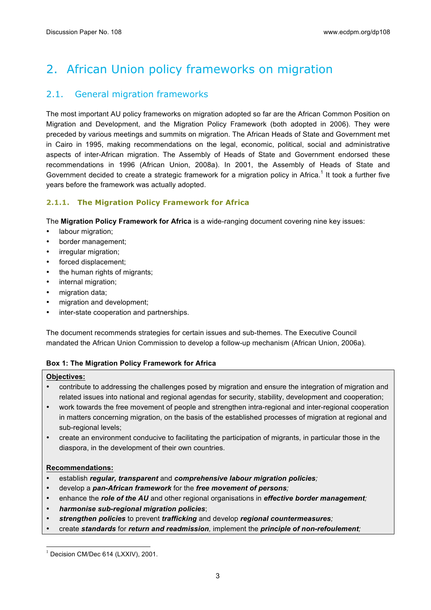## 2. African Union policy frameworks on migration

#### 2.1. General migration frameworks

The most important AU policy frameworks on migration adopted so far are the African Common Position on Migration and Development, and the Migration Policy Framework (both adopted in 2006). They were preceded by various meetings and summits on migration. The African Heads of State and Government met in Cairo in 1995, making recommendations on the legal, economic, political, social and administrative aspects of inter-African migration. The Assembly of Heads of State and Government endorsed these recommendations in 1996 (African Union, 2008a). In 2001, the Assembly of Heads of State and Government decided to create a strategic framework for a migration policy in Africa.<sup>1</sup> It took a further five years before the framework was actually adopted.

#### **2.1.1. The Migration Policy Framework for Africa**

The **Migration Policy Framework for Africa** is a wide-ranging document covering nine key issues:

- labour migration;
- border management;
- irregular migration;
- forced displacement;
- the human rights of migrants;
- internal migration;
- migration data;
- migration and development;
- inter-state cooperation and partnerships.

The document recommends strategies for certain issues and sub-themes. The Executive Council mandated the African Union Commission to develop a follow-up mechanism (African Union, 2006a).

#### **Box 1: The Migration Policy Framework for Africa**

#### **Objectives:**

- contribute to addressing the challenges posed by migration and ensure the integration of migration and related issues into national and regional agendas for security, stability, development and cooperation;
- work towards the free movement of people and strengthen intra-regional and inter-regional cooperation in matters concerning migration, on the basis of the established processes of migration at regional and sub-regional levels;
- create an environment conducive to facilitating the participation of migrants, in particular those in the diaspora, in the development of their own countries.

#### **Recommendations:**

- establish *regular, transparent* and *comprehensive labour migration policies;*
- develop a *pan-African framework* for the *free movement of persons;*
- enhance the *role of the AU* and other regional organisations in *effective border management;*
- *harmonise sub-regional migration policies*;
- *strengthen policies* to prevent *trafficking* and develop *regional countermeasures;*
- create *standards* for *return and readmission,* implement the *principle of non-refoulement;*

 $1$  Decision CM/Dec 614 (LXXIV), 2001.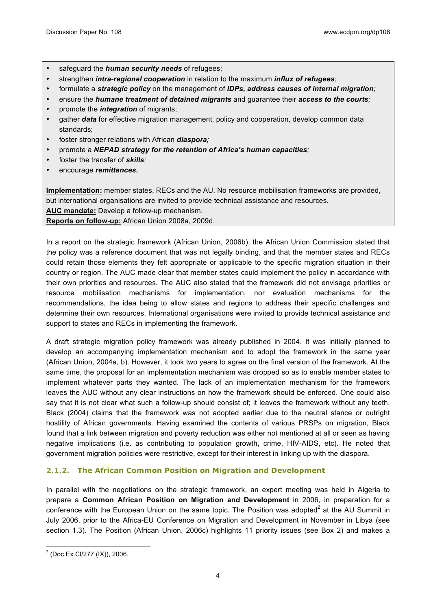- safeguard the *human security needs* of refugees;
- strengthen *intra-regional cooperation* in relation to the maximum *influx of refugees;*
- formulate a *strategic policy* on the management of *IDPs, address causes of internal migration;*
- ensure the *humane treatment of detained migrants* and guarantee their *access to the courts;*
- promote the *integration* of migrants;
- gather *data* for effective migration management, policy and cooperation, develop common data standards;
- foster stronger relations with African *diaspora;*
- promote a *NEPAD strategy for the retention of Africa's human capacities;*
- foster the transfer of *skills;*
- encourage *remittances***.**

**Implementation:** member states, RECs and the AU. No resource mobilisation frameworks are provided, but international organisations are invited to provide technical assistance and resources. **AUC mandate:** Develop a follow-up mechanism.

**Reports on follow-up:** African Union 2008a, 2009d.

In a report on the strategic framework (African Union, 2006b), the African Union Commission stated that the policy was a reference document that was not legally binding, and that the member states and RECs could retain those elements they felt appropriate or applicable to the specific migration situation in their country or region. The AUC made clear that member states could implement the policy in accordance with their own priorities and resources. The AUC also stated that the framework did not envisage priorities or resource mobilisation mechanisms for implementation, nor evaluation mechanisms for the recommendations, the idea being to allow states and regions to address their specific challenges and determine their own resources. International organisations were invited to provide technical assistance and support to states and RECs in implementing the framework.

A draft strategic migration policy framework was already published in 2004. It was initially planned to develop an accompanying implementation mechanism and to adopt the framework in the same year (African Union, 2004a, b). However, it took two years to agree on the final version of the framework. At the same time, the proposal for an implementation mechanism was dropped so as to enable member states to implement whatever parts they wanted. The lack of an implementation mechanism for the framework leaves the AUC without any clear instructions on how the framework should be enforced. One could also say that it is not clear what such a follow-up should consist of; it leaves the framework without any teeth. Black (2004) claims that the framework was not adopted earlier due to the neutral stance or outright hostility of African governments. Having examined the contents of various PRSPs on migration, Black found that a link between migration and poverty reduction was either not mentioned at all or seen as having negative implications (i.e. as contributing to population growth, crime, HIV-AIDS, etc). He noted that government migration policies were restrictive, except for their interest in linking up with the diaspora.

#### **2.1.2. The African Common Position on Migration and Development**

In parallel with the negotiations on the strategic framework, an expert meeting was held in Algeria to prepare a **Common African Position on Migration and Development** in 2006, in preparation for a conference with the European Union on the same topic. The Position was adopted $^2$  at the AU Summit in July 2006, prior to the Africa-EU Conference on Migration and Development in November in Libya (see section 1.3). The Position (African Union, 2006c) highlights 11 priority issues (see Box 2) and makes a

 $2$  (Doc.Ex.Cl/277 (IX)), 2006.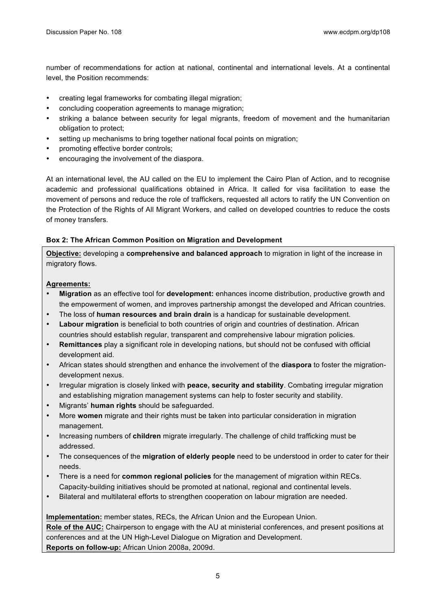number of recommendations for action at national, continental and international levels. At a continental level, the Position recommends:

- creating legal frameworks for combating illegal migration;
- concluding cooperation agreements to manage migration;
- striking a balance between security for legal migrants, freedom of movement and the humanitarian obligation to protect;
- setting up mechanisms to bring together national focal points on migration;
- promoting effective border controls;
- encouraging the involvement of the diaspora.

At an international level, the AU called on the EU to implement the Cairo Plan of Action, and to recognise academic and professional qualifications obtained in Africa. It called for visa facilitation to ease the movement of persons and reduce the role of traffickers, requested all actors to ratify the UN Convention on the Protection of the Rights of All Migrant Workers, and called on developed countries to reduce the costs of money transfers.

#### **Box 2: The African Common Position on Migration and Development**

**Objective:** developing a **comprehensive and balanced approach** to migration in light of the increase in migratory flows.

#### **Agreements:**

- **Migration** as an effective tool for **development:** enhances income distribution, productive growth and the empowerment of women, and improves partnership amongst the developed and African countries.
- The loss of **human resources and brain drain** is a handicap for sustainable development.
- **Labour migration** is beneficial to both countries of origin and countries of destination. African countries should establish regular, transparent and comprehensive labour migration policies.
- **Remittances** play a significant role in developing nations, but should not be confused with official development aid.
- African states should strengthen and enhance the involvement of the **diaspora** to foster the migrationdevelopment nexus.
- Irregular migration is closely linked with **peace, security and stability**. Combating irregular migration and establishing migration management systems can help to foster security and stability.
- Migrants' **human rights** should be safeguarded.
- More **women** migrate and their rights must be taken into particular consideration in migration management.
- Increasing numbers of **children** migrate irregularly. The challenge of child trafficking must be addressed.
- The consequences of the **migration of elderly people** need to be understood in order to cater for their needs.
- There is a need for **common regional policies** for the management of migration within RECs. Capacity-building initiatives should be promoted at national, regional and continental levels.
- Bilateral and multilateral efforts to strengthen cooperation on labour migration are needed.

**Implementation:** member states, RECs, the African Union and the European Union. **Role of the AUC:** Chairperson to engage with the AU at ministerial conferences, and present positions at conferences and at the UN High-Level Dialogue on Migration and Development. **Reports on follow-up:** African Union 2008a, 2009d.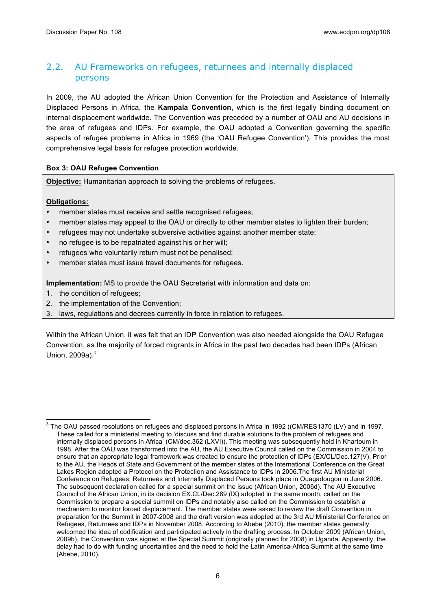#### 2.2. AU Frameworks on refugees, returnees and internally displaced persons

In 2009, the AU adopted the African Union Convention for the Protection and Assistance of Internally Displaced Persons in Africa, the **Kampala Convention**, which is the first legally binding document on internal displacement worldwide. The Convention was preceded by a number of OAU and AU decisions in the area of refugees and IDPs. For example, the OAU adopted a Convention governing the specific aspects of refugee problems in Africa in 1969 (the 'OAU Refugee Convention'). This provides the most comprehensive legal basis for refugee protection worldwide.

#### **Box 3: OAU Refugee Convention**

**Objective:** Humanitarian approach to solving the problems of refugees.

#### **Obligations:**

- member states must receive and settle recognised refugees;
- member states may appeal to the OAU or directly to other member states to lighten their burden;
- refugees may not undertake subversive activities against another member state;
- no refugee is to be repatriated against his or her will;
- refugees who voluntarily return must not be penalised;
- member states must issue travel documents for refugees.

**Implementation:** MS to provide the OAU Secretariat with information and data on:

- 1. the condition of refugees;
- 2. the implementation of the Convention;
- 3. laws, regulations and decrees currently in force in relation to refugees.

Within the African Union, it was felt that an IDP Convention was also needed alongside the OAU Refugee Convention, as the majority of forced migrants in Africa in the past two decades had been IDPs (African Union,  $2009a$ ). $3$ 

 $3$  The OAU passed resolutions on refugees and displaced persons in Africa in 1992 ((CM/RES1370 (LV) and in 1997. These called for a ministerial meeting to 'discuss and find durable solutions to the problem of refugees and internally displaced persons in Africa' (CM/dec.362 (LXVI)). This meeting was subsequently held in Khartoum in 1998. After the OAU was transformed into the AU, the AU Executive Council called on the Commission in 2004 to ensure that an appropriate legal framework was created to ensure the protection of IDPs (EX/CL/Dec.127(V). Prior to the AU, the Heads of State and Government of the member states of the International Conference on the Great Lakes Region adopted a Protocol on the Protection and Assistance to IDPs in 2006.The first AU Ministerial Conference on Refugees, Returnees and Internally Displaced Persons took place in Ouagadougou in June 2006. The subsequent declaration called for a special summit on the issue (African Union, 2006d). The AU Executive Council of the African Union, in its decision EX.CL/Dec.289 (IX) adopted in the same month, called on the Commission to prepare a special summit on IDPs and notably also called on the Commission to establish a mechanism to monitor forced displacement. The member states were asked to review the draft Convention in preparation for the Summit in 2007-2008 and the draft version was adopted at the 3rd AU Ministerial Conference on Refugees, Returnees and IDPs in November 2008. According to Abebe (2010), the member states generally welcomed the idea of codification and participated actively in the drafting process. In October 2009 (African Union, 2009b), the Convention was signed at the Special Summit (originally planned for 2008) in Uganda. Apparently, the delay had to do with funding uncertainties and the need to hold the Latin America-Africa Summit at the same time (Abebe, 2010).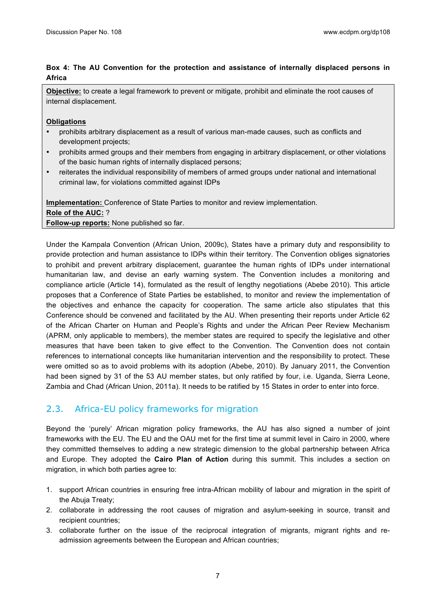#### **Box 4: The AU Convention for the protection and assistance of internally displaced persons in Africa**

**Objective:** to create a legal framework to prevent or mitigate, prohibit and eliminate the root causes of internal displacement.

#### **Obligations**

- prohibits arbitrary displacement as a result of various man-made causes, such as conflicts and development projects;
- prohibits armed groups and their members from engaging in arbitrary displacement, or other violations of the basic human rights of internally displaced persons;
- reiterates the individual responsibility of members of armed groups under national and international criminal law, for violations committed against IDPs

**Implementation:** Conference of State Parties to monitor and review implementation. **Role of the AUC:** ? **Follow-up reports:** None published so far.

Under the Kampala Convention (African Union, 2009c), States have a primary duty and responsibility to provide protection and human assistance to IDPs within their territory. The Convention obliges signatories to prohibit and prevent arbitrary displacement, guarantee the human rights of IDPs under international humanitarian law, and devise an early warning system. The Convention includes a monitoring and compliance article (Article 14), formulated as the result of lengthy negotiations (Abebe 2010). This article proposes that a Conference of State Parties be established, to monitor and review the implementation of the objectives and enhance the capacity for cooperation. The same article also stipulates that this Conference should be convened and facilitated by the AU. When presenting their reports under Article 62 of the African Charter on Human and People's Rights and under the African Peer Review Mechanism (APRM, only applicable to members), the member states are required to specify the legislative and other measures that have been taken to give effect to the Convention. The Convention does not contain references to international concepts like humanitarian intervention and the responsibility to protect. These were omitted so as to avoid problems with its adoption (Abebe, 2010). By January 2011, the Convention had been signed by 31 of the 53 AU member states, but only ratified by four, i.e. Uganda, Sierra Leone, Zambia and Chad (African Union, 2011a). It needs to be ratified by 15 States in order to enter into force.

#### 2.3. Africa-EU policy frameworks for migration

Beyond the 'purely' African migration policy frameworks, the AU has also signed a number of joint frameworks with the EU. The EU and the OAU met for the first time at summit level in Cairo in 2000, where they committed themselves to adding a new strategic dimension to the global partnership between Africa and Europe. They adopted the **Cairo Plan of Action** during this summit. This includes a section on migration, in which both parties agree to:

- 1. support African countries in ensuring free intra-African mobility of labour and migration in the spirit of the Abuja Treaty;
- 2. collaborate in addressing the root causes of migration and asylum-seeking in source, transit and recipient countries;
- 3. collaborate further on the issue of the reciprocal integration of migrants, migrant rights and readmission agreements between the European and African countries;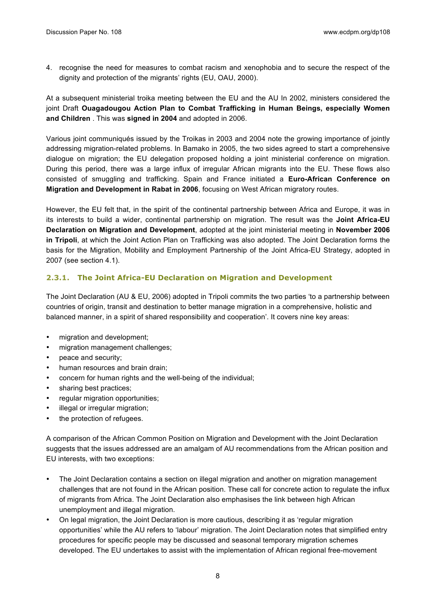4. recognise the need for measures to combat racism and xenophobia and to secure the respect of the dignity and protection of the migrants' rights (EU, OAU, 2000).

At a subsequent ministerial troika meeting between the EU and the AU In 2002, ministers considered the joint Draft **Ouagadougou Action Plan to Combat Trafficking in Human Beings, especially Women and Children** . This was **signed in 2004** and adopted in 2006.

Various joint communiqués issued by the Troikas in 2003 and 2004 note the growing importance of jointly addressing migration-related problems. In Bamako in 2005, the two sides agreed to start a comprehensive dialogue on migration; the EU delegation proposed holding a joint ministerial conference on migration. During this period, there was a large influx of irregular African migrants into the EU. These flows also consisted of smuggling and trafficking. Spain and France initiated a **Euro-African Conference on Migration and Development in Rabat in 2006**, focusing on West African migratory routes.

However, the EU felt that, in the spirit of the continental partnership between Africa and Europe, it was in its interests to build a wider, continental partnership on migration. The result was the **Joint Africa-EU Declaration on Migration and Development**, adopted at the joint ministerial meeting in **November 2006 in Tripoli**, at which the Joint Action Plan on Trafficking was also adopted. The Joint Declaration forms the basis for the Migration, Mobility and Employment Partnership of the Joint Africa-EU Strategy, adopted in 2007 (see section 4.1).

#### **2.3.1. The Joint Africa-EU Declaration on Migration and Development**

The Joint Declaration (AU & EU, 2006) adopted in Tripoli commits the two parties 'to a partnership between countries of origin, transit and destination to better manage migration in a comprehensive, holistic and balanced manner, in a spirit of shared responsibility and cooperation'. It covers nine key areas:

- migration and development;
- migration management challenges;
- peace and security;
- human resources and brain drain;
- concern for human rights and the well-being of the individual;
- sharing best practices;
- regular migration opportunities;
- illegal or irregular migration;
- the protection of refugees.

A comparison of the African Common Position on Migration and Development with the Joint Declaration suggests that the issues addressed are an amalgam of AU recommendations from the African position and EU interests, with two exceptions:

- The Joint Declaration contains a section on illegal migration and another on migration management challenges that are not found in the African position. These call for concrete action to regulate the influx of migrants from Africa. The Joint Declaration also emphasises the link between high African unemployment and illegal migration.
- On legal migration, the Joint Declaration is more cautious, describing it as 'regular migration opportunities' while the AU refers to 'labour' migration. The Joint Declaration notes that simplified entry procedures for specific people may be discussed and seasonal temporary migration schemes developed. The EU undertakes to assist with the implementation of African regional free-movement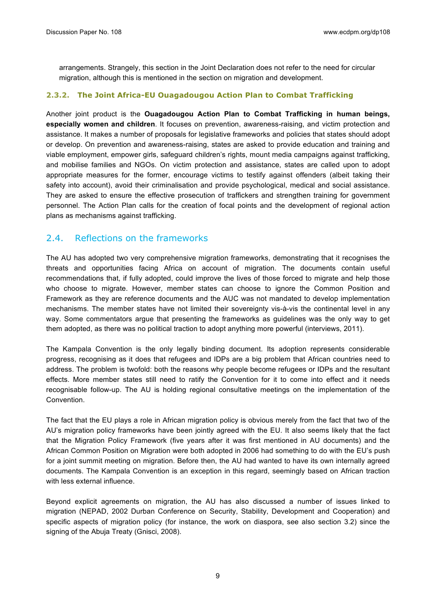arrangements. Strangely, this section in the Joint Declaration does not refer to the need for circular migration, although this is mentioned in the section on migration and development.

#### **2.3.2. The Joint Africa-EU Ouagadougou Action Plan to Combat Trafficking**

Another joint product is the **Ouagadougou Action Plan to Combat Trafficking in human beings, especially women and children**. It focuses on prevention, awareness-raising, and victim protection and assistance. It makes a number of proposals for legislative frameworks and policies that states should adopt or develop. On prevention and awareness-raising, states are asked to provide education and training and viable employment, empower girls, safeguard children's rights, mount media campaigns against trafficking, and mobilise families and NGOs. On victim protection and assistance, states are called upon to adopt appropriate measures for the former, encourage victims to testify against offenders (albeit taking their safety into account), avoid their criminalisation and provide psychological, medical and social assistance. They are asked to ensure the effective prosecution of traffickers and strengthen training for government personnel. The Action Plan calls for the creation of focal points and the development of regional action plans as mechanisms against trafficking.

#### 2.4. Reflections on the frameworks

The AU has adopted two very comprehensive migration frameworks, demonstrating that it recognises the threats and opportunities facing Africa on account of migration. The documents contain useful recommendations that, if fully adopted, could improve the lives of those forced to migrate and help those who choose to migrate. However, member states can choose to ignore the Common Position and Framework as they are reference documents and the AUC was not mandated to develop implementation mechanisms. The member states have not limited their sovereignty vis-à-vis the continental level in any way. Some commentators argue that presenting the frameworks as guidelines was the only way to get them adopted, as there was no political traction to adopt anything more powerful (interviews, 2011).

The Kampala Convention is the only legally binding document. Its adoption represents considerable progress, recognising as it does that refugees and IDPs are a big problem that African countries need to address. The problem is twofold: both the reasons why people become refugees or IDPs and the resultant effects. More member states still need to ratify the Convention for it to come into effect and it needs recognisable follow-up. The AU is holding regional consultative meetings on the implementation of the Convention.

The fact that the EU plays a role in African migration policy is obvious merely from the fact that two of the AU's migration policy frameworks have been jointly agreed with the EU. It also seems likely that the fact that the Migration Policy Framework (five years after it was first mentioned in AU documents) and the African Common Position on Migration were both adopted in 2006 had something to do with the EU's push for a joint summit meeting on migration. Before then, the AU had wanted to have its own internally agreed documents. The Kampala Convention is an exception in this regard, seemingly based on African traction with less external influence

Beyond explicit agreements on migration, the AU has also discussed a number of issues linked to migration (NEPAD, 2002 Durban Conference on Security, Stability, Development and Cooperation) and specific aspects of migration policy (for instance, the work on diaspora, see also section 3.2) since the signing of the Abuja Treaty (Gnisci, 2008).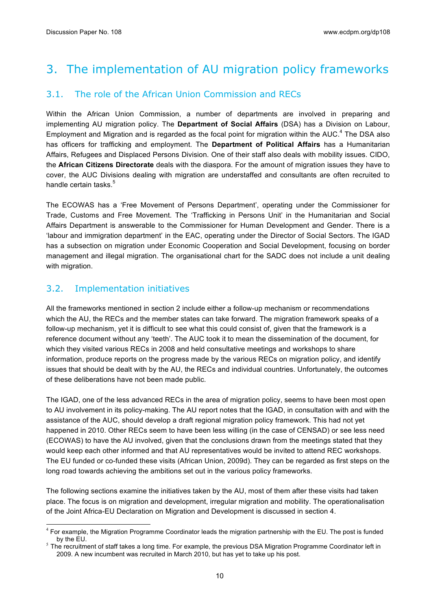## 3. The implementation of AU migration policy frameworks

#### 3.1. The role of the African Union Commission and RECs

Within the African Union Commission, a number of departments are involved in preparing and implementing AU migration policy. The **Department of Social Affairs** (DSA) has a Division on Labour, Employment and Migration and is regarded as the focal point for migration within the  $AUC<sup>4</sup>$  The DSA also has officers for trafficking and employment. The **Department of Political Affairs** has a Humanitarian Affairs, Refugees and Displaced Persons Division. One of their staff also deals with mobility issues. CIDO, the **African Citizens Directorate** deals with the diaspora. For the amount of migration issues they have to cover, the AUC Divisions dealing with migration are understaffed and consultants are often recruited to handle certain tasks.<sup>5</sup>

The ECOWAS has a 'Free Movement of Persons Department', operating under the Commissioner for Trade, Customs and Free Movement. The 'Trafficking in Persons Unit' in the Humanitarian and Social Affairs Department is answerable to the Commissioner for Human Development and Gender. There is a 'labour and immigration department' in the EAC, operating under the Director of Social Sectors. The IGAD has a subsection on migration under Economic Cooperation and Social Development, focusing on border management and illegal migration. The organisational chart for the SADC does not include a unit dealing with migration.

#### 3.2. Implementation initiatives

All the frameworks mentioned in section 2 include either a follow-up mechanism or recommendations which the AU, the RECs and the member states can take forward. The migration framework speaks of a follow-up mechanism, yet it is difficult to see what this could consist of, given that the framework is a reference document without any 'teeth'. The AUC took it to mean the dissemination of the document, for which they visited various RECs in 2008 and held consultative meetings and workshops to share information, produce reports on the progress made by the various RECs on migration policy, and identify issues that should be dealt with by the AU, the RECs and individual countries. Unfortunately, the outcomes of these deliberations have not been made public.

The IGAD, one of the less advanced RECs in the area of migration policy, seems to have been most open to AU involvement in its policy-making. The AU report notes that the IGAD, in consultation with and with the assistance of the AUC, should develop a draft regional migration policy framework. This had not yet happened in 2010. Other RECs seem to have been less willing (in the case of CENSAD) or see less need (ECOWAS) to have the AU involved, given that the conclusions drawn from the meetings stated that they would keep each other informed and that AU representatives would be invited to attend REC workshops. The EU funded or co-funded these visits (African Union, 2009d). They can be regarded as first steps on the long road towards achieving the ambitions set out in the various policy frameworks.

The following sections examine the initiatives taken by the AU, most of them after these visits had taken place. The focus is on migration and development, irregular migration and mobility. The operationalisation of the Joint Africa-EU Declaration on Migration and Development is discussed in section 4.

<sup>&</sup>lt;sup>4</sup> For example, the Migration Programme Coordinator leads the migration partnership with the EU. The post is funded by the EU.<br>5 The recruitment of staff takes a long time. For example, the previous DSA Migration Programme Coordinator left in

<sup>2009.</sup> A new incumbent was recruited in March 2010, but has yet to take up his post.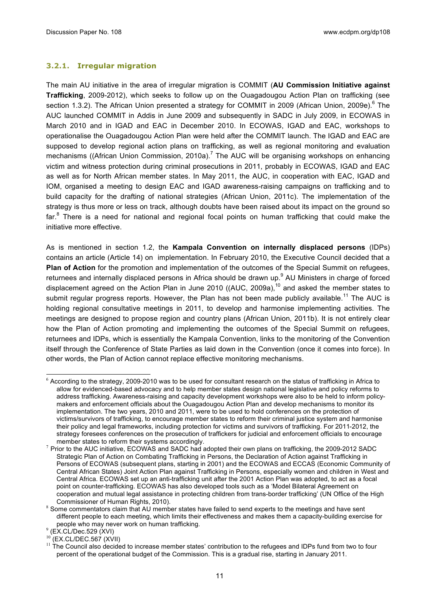#### **3.2.1. Irregular migration**

The main AU initiative in the area of irregular migration is COMMIT (**AU Commission Initiative against Trafficking**, 2009-2012), which seeks to follow up on the Ouagadougou Action Plan on trafficking (see section 1.3.2). The African Union presented a strategy for COMMIT in 2009 (African Union, 2009e).<sup>6</sup> The AUC launched COMMIT in Addis in June 2009 and subsequently in SADC in July 2009, in ECOWAS in March 2010 and in IGAD and EAC in December 2010. In ECOWAS, IGAD and EAC, workshops to operationalise the Ouagadougou Action Plan were held after the COMMIT launch. The IGAD and EAC are supposed to develop regional action plans on trafficking, as well as regional monitoring and evaluation mechanisms ((African Union Commission, 2010a).<sup>7</sup> The AUC will be organising workshops on enhancing victim and witness protection during criminal prosecutions in 2011, probably in ECOWAS, IGAD and EAC as well as for North African member states. In May 2011, the AUC, in cooperation with EAC, IGAD and IOM, organised a meeting to design EAC and IGAD awareness-raising campaigns on trafficking and to build capacity for the drafting of national strategies (African Union, 2011c). The implementation of the strategy is thus more or less on track, although doubts have been raised about its impact on the ground so far.<sup>8</sup> There is a need for national and regional focal points on human trafficking that could make the initiative more effective.

As is mentioned in section 1.2, the **Kampala Convention on internally displaced persons** (IDPs) contains an article (Article 14) on implementation. In February 2010, the Executive Council decided that a **Plan of Action** for the promotion and implementation of the outcomes of the Special Summit on refugees, returnees and internally displaced persons in Africa should be drawn up.<sup>9</sup> AU Ministers in charge of forced displacement agreed on the Action Plan in June 2010 ((AUC, 2009a), $^{10}$  and asked the member states to submit regular progress reports. However, the Plan has not been made publicly available.<sup>11</sup> The AUC is holding regional consultative meetings in 2011, to develop and harmonise implementing activities. The meetings are designed to propose region and country plans (African Union, 2011b). It is not entirely clear how the Plan of Action promoting and implementing the outcomes of the Special Summit on refugees, returnees and IDPs, which is essentially the Kampala Convention, links to the monitoring of the Convention itself through the Conference of State Parties as laid down in the Convention (once it comes into force). In other words, the Plan of Action cannot replace effective monitoring mechanisms.

 $6$  According to the strategy, 2009-2010 was to be used for consultant research on the status of trafficking in Africa to allow for evidenced-based advocacy and to help member states design national legislative and policy reforms to address trafficking. Awareness-raising and capacity development workshops were also to be held to inform policymakers and enforcement officials about the Ouagadougou Action Plan and develop mechanisms to monitor its implementation. The two years, 2010 and 2011, were to be used to hold conferences on the protection of victims/survivors of trafficking, to encourage member states to reform their criminal justice system and harmonise their policy and legal frameworks, including protection for victims and survivors of trafficking. For 2011-2012, the strategy foresees conferences on the prosecution of traffickers for judicial and enforcement officials to encourage

member states to reform their systems accordingly.<br><sup>7</sup> Prior to the AUC initiative, ECOWAS and SADC had adopted their own plans on trafficking, the 2009-2012 SADC Strategic Plan of Action on Combating Trafficking in Persons, the Declaration of Action against Trafficking in Persons of ECOWAS (subsequent plans, starting in 2001) and the ECOWAS and ECCAS (Economic Community of Central African States) Joint Action Plan against Trafficking in Persons, especially women and children in West and Central Africa. ECOWAS set up an anti-trafficking unit after the 2001 Action Plan was adopted, to act as a focal point on counter-trafficking. ECOWAS has also developed tools such as a 'Model Bilateral Agreement on cooperation and mutual legal assistance in protecting children from trans-border trafficking' (UN Office of the High Commissioner of Human Rights, 2010).<br>8 Some commentators claim that AU member states have failed to send experts to the meetings and have sent

different people to each meeting, which limits their effectiveness and makes them a capacity-building exercise for people who may never work on human trafficking.<br><sup>9</sup> (EX.CL/Dec.529 (XVI)<br><sup>10</sup> (EX.Q.IDEQ.523.00.00)

 $10$  (EX.CL/DEC.567 (XVII)<br> $11$  The Council also decided to increase member states' contribution to the refugees and IDPs fund from two to four percent of the operational budget of the Commission. This is a gradual rise, starting in January 2011.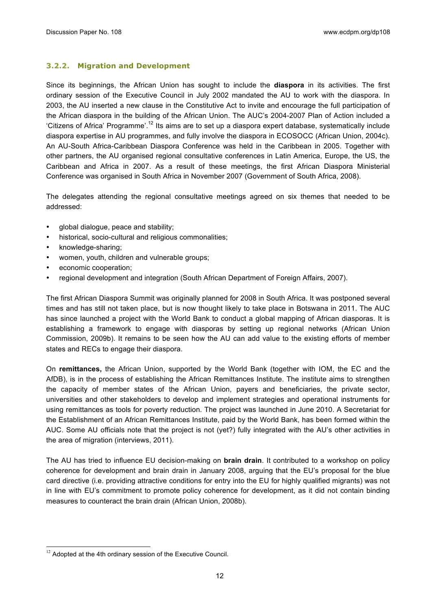#### **3.2.2. Migration and Development**

Since its beginnings, the African Union has sought to include the **diaspora** in its activities. The first ordinary session of the Executive Council in July 2002 mandated the AU to work with the diaspora. In 2003, the AU inserted a new clause in the Constitutive Act to invite and encourage the full participation of the African diaspora in the building of the African Union. The AUC's 2004-2007 Plan of Action included a 'Citizens of Africa' Programme'.<sup>12</sup> Its aims are to set up a diaspora expert database, systematically include diaspora expertise in AU programmes, and fully involve the diaspora in ECOSOCC (African Union, 2004c). An AU-South Africa-Caribbean Diaspora Conference was held in the Caribbean in 2005. Together with other partners, the AU organised regional consultative conferences in Latin America, Europe, the US, the Caribbean and Africa in 2007. As a result of these meetings, the first African Diaspora Ministerial Conference was organised in South Africa in November 2007 (Government of South Africa, 2008).

The delegates attending the regional consultative meetings agreed on six themes that needed to be addressed:

- global dialogue, peace and stability;
- historical, socio-cultural and religious commonalities;
- knowledge-sharing;
- women, youth, children and vulnerable groups;
- economic cooperation:
- regional development and integration (South African Department of Foreign Affairs, 2007).

The first African Diaspora Summit was originally planned for 2008 in South Africa. It was postponed several times and has still not taken place, but is now thought likely to take place in Botswana in 2011. The AUC has since launched a project with the World Bank to conduct a global mapping of African diasporas. It is establishing a framework to engage with diasporas by setting up regional networks (African Union Commission, 2009b). It remains to be seen how the AU can add value to the existing efforts of member states and RECs to engage their diaspora.

On **remittances,** the African Union, supported by the World Bank (together with IOM, the EC and the AfDB), is in the process of establishing the African Remittances Institute. The institute aims to strengthen the capacity of member states of the African Union, payers and beneficiaries, the private sector, universities and other stakeholders to develop and implement strategies and operational instruments for using remittances as tools for poverty reduction. The project was launched in June 2010. A Secretariat for the Establishment of an African Remittances Institute, paid by the World Bank, has been formed within the AUC. Some AU officials note that the project is not (yet?) fully integrated with the AU's other activities in the area of migration (interviews, 2011).

The AU has tried to influence EU decision-making on **brain drain**. It contributed to a workshop on policy coherence for development and brain drain in January 2008, arguing that the EU's proposal for the blue card directive (i.e. providing attractive conditions for entry into the EU for highly qualified migrants) was not in line with EU's commitment to promote policy coherence for development, as it did not contain binding measures to counteract the brain drain (African Union, 2008b).

 $12$  Adopted at the 4th ordinary session of the Executive Council.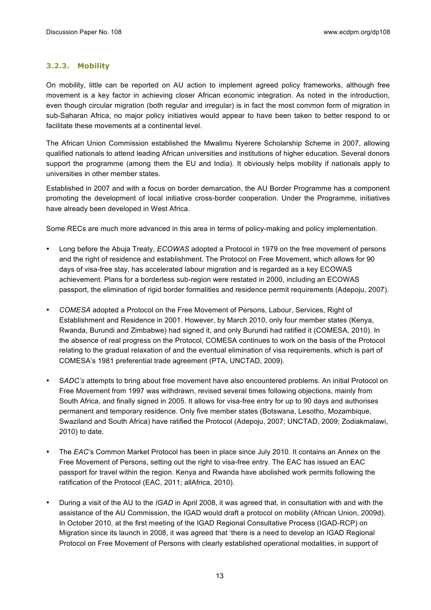#### **3.2.3. Mobility**

On mobility, little can be reported on AU action to implement agreed policy frameworks, although free movement is a key factor in achieving closer African economic integration. As noted in the introduction, even though circular migration (both regular and irregular) is in fact the most common form of migration in sub-Saharan Africa, no major policy initiatives would appear to have been taken to better respond to or facilitate these movements at a continental level.

The African Union Commission established the Mwalimu Nyerere Scholarship Scheme in 2007, allowing qualified nationals to attend leading African universities and institutions of higher education. Several donors support the programme (among them the EU and India). It obviously helps mobility if nationals apply to universities in other member states.

Established in 2007 and with a focus on border demarcation, the AU Border Programme has a component promoting the development of local initiative cross-border cooperation. Under the Programme, initiatives have already been developed in West Africa.

Some RECs are much more advanced in this area in terms of policy-making and policy implementation.

- Long before the Abuja Treaty, *ECOWAS* adopted a Protocol in 1979 on the free movement of persons and the right of residence and establishment. The Protocol on Free Movement, which allows for 90 days of visa-free stay, has accelerated labour migration and is regarded as a key ECOWAS achievement. Plans for a borderless sub-region were restated in 2000, including an ECOWAS passport, the elimination of rigid border formalities and residence permit requirements (Adepoju, 2007).
- *COMESA* adopted a Protocol on the Free Movement of Persons, Labour, Services, Right of Establishment and Residence in 2001. However, by March 2010, only four member states (Kenya, Rwanda, Burundi and Zimbabwe) had signed it, and only Burundi had ratified it (COMESA, 2010). In the absence of real progress on the Protocol, COMESA continues to work on the basis of the Protocol relating to the gradual relaxation of and the eventual elimination of visa requirements, which is part of COMESA's 1981 preferential trade agreement (PTA, UNCTAD, 2009).
- S*ADC's* attempts to bring about free movement have also encountered problems. An initial Protocol on Free Movement from 1997 was withdrawn, revised several times following objections, mainly from South Africa, and finally signed in 2005. It allows for visa-free entry for up to 90 days and authorises permanent and temporary residence. Only five member states (Botswana, Lesotho, Mozambique, Swaziland and South Africa) have ratified the Protocol (Adepoju, 2007; UNCTAD, 2009; Zodiakmalawi, 2010) to date.
- The *EAC*'s Common Market Protocol has been in place since July 2010. It contains an Annex on the Free Movement of Persons, setting out the right to visa-free entry. The EAC has issued an EAC passport for travel within the region. Kenya and Rwanda have abolished work permits following the ratification of the Protocol (EAC, 2011; allAfrica, 2010).
- During a visit of the AU to the *IGAD* in April 2008, it was agreed that, in consultation with and with the assistance of the AU Commission, the IGAD would draft a protocol on mobility (African Union, 2009d). In October 2010, at the first meeting of the IGAD Regional Consultative Process (IGAD-RCP) on Migration since its launch in 2008, it was agreed that 'there is a need to develop an IGAD Regional Protocol on Free Movement of Persons with clearly established operational modalities, in support of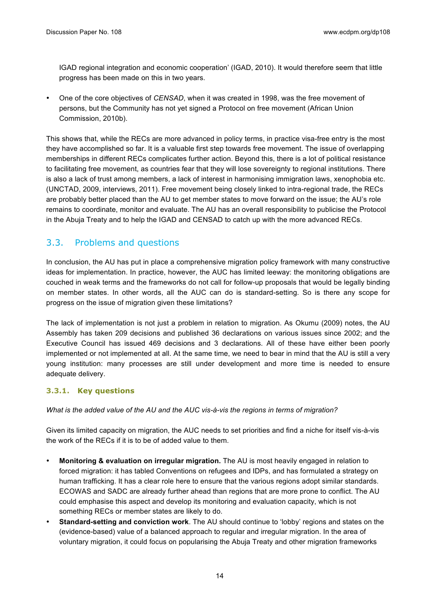IGAD regional integration and economic cooperation' (IGAD, 2010). It would therefore seem that little progress has been made on this in two years.

• One of the core objectives of *CENSAD*, when it was created in 1998, was the free movement of persons, but the Community has not yet signed a Protocol on free movement (African Union Commission, 2010b).

This shows that, while the RECs are more advanced in policy terms, in practice visa-free entry is the most they have accomplished so far. It is a valuable first step towards free movement. The issue of overlapping memberships in different RECs complicates further action. Beyond this, there is a lot of political resistance to facilitating free movement, as countries fear that they will lose sovereignty to regional institutions. There is also a lack of trust among members, a lack of interest in harmonising immigration laws, xenophobia etc. (UNCTAD, 2009, interviews, 2011). Free movement being closely linked to intra-regional trade, the RECs are probably better placed than the AU to get member states to move forward on the issue; the AU's role remains to coordinate, monitor and evaluate. The AU has an overall responsibility to publicise the Protocol in the Abuja Treaty and to help the IGAD and CENSAD to catch up with the more advanced RECs.

#### 3.3. Problems and questions

In conclusion, the AU has put in place a comprehensive migration policy framework with many constructive ideas for implementation. In practice, however, the AUC has limited leeway: the monitoring obligations are couched in weak terms and the frameworks do not call for follow-up proposals that would be legally binding on member states. In other words, all the AUC can do is standard-setting. So is there any scope for progress on the issue of migration given these limitations?

The lack of implementation is not just a problem in relation to migration. As Okumu (2009) notes, the AU Assembly has taken 209 decisions and published 36 declarations on various issues since 2002; and the Executive Council has issued 469 decisions and 3 declarations. All of these have either been poorly implemented or not implemented at all. At the same time, we need to bear in mind that the AU is still a very young institution: many processes are still under development and more time is needed to ensure adequate delivery.

#### **3.3.1. Key questions**

*What is the added value of the AU and the AUC vis-à-vis the regions in terms of migration?* 

Given its limited capacity on migration, the AUC needs to set priorities and find a niche for itself vis-à-vis the work of the RECs if it is to be of added value to them.

- **Monitoring & evaluation on irregular migration.** The AU is most heavily engaged in relation to forced migration: it has tabled Conventions on refugees and IDPs, and has formulated a strategy on human trafficking. It has a clear role here to ensure that the various regions adopt similar standards. ECOWAS and SADC are already further ahead than regions that are more prone to conflict. The AU could emphasise this aspect and develop its monitoring and evaluation capacity, which is not something RECs or member states are likely to do.
- **Standard-setting and conviction work**. The AU should continue to 'lobby' regions and states on the (evidence-based) value of a balanced approach to regular and irregular migration. In the area of voluntary migration, it could focus on popularising the Abuja Treaty and other migration frameworks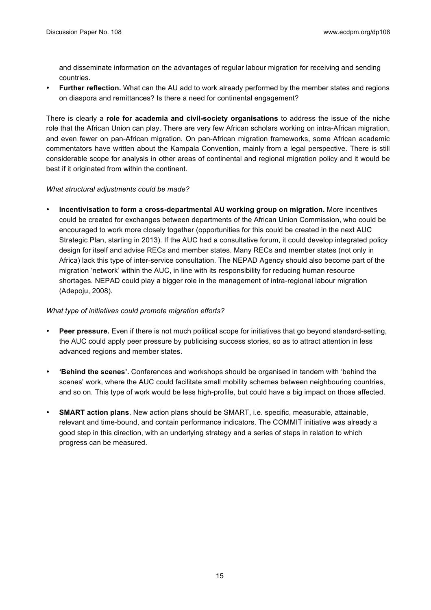and disseminate information on the advantages of regular labour migration for receiving and sending countries.

• **Further reflection.** What can the AU add to work already performed by the member states and regions on diaspora and remittances? Is there a need for continental engagement?

There is clearly a **role for academia and civil-society organisations** to address the issue of the niche role that the African Union can play. There are very few African scholars working on intra-African migration, and even fewer on pan-African migration. On pan-African migration frameworks, some African academic commentators have written about the Kampala Convention, mainly from a legal perspective. There is still considerable scope for analysis in other areas of continental and regional migration policy and it would be best if it originated from within the continent.

#### *What structural adjustments could be made?*

• **Incentivisation to form a cross-departmental AU working group on migration.** More incentives could be created for exchanges between departments of the African Union Commission, who could be encouraged to work more closely together (opportunities for this could be created in the next AUC Strategic Plan, starting in 2013). If the AUC had a consultative forum, it could develop integrated policy design for itself and advise RECs and member states. Many RECs and member states (not only in Africa) lack this type of inter-service consultation. The NEPAD Agency should also become part of the migration 'network' within the AUC, in line with its responsibility for reducing human resource shortages. NEPAD could play a bigger role in the management of intra-regional labour migration (Adepoju, 2008).

#### *What type of initiatives could promote migration efforts?*

- **Peer pressure.** Even if there is not much political scope for initiatives that go beyond standard-setting, the AUC could apply peer pressure by publicising success stories, so as to attract attention in less advanced regions and member states.
- **'Behind the scenes'.** Conferences and workshops should be organised in tandem with 'behind the scenes' work, where the AUC could facilitate small mobility schemes between neighbouring countries, and so on. This type of work would be less high-profile, but could have a big impact on those affected.
- **SMART action plans**. New action plans should be SMART, i.e. specific, measurable, attainable, relevant and time-bound, and contain performance indicators. The COMMIT initiative was already a good step in this direction, with an underlying strategy and a series of steps in relation to which progress can be measured.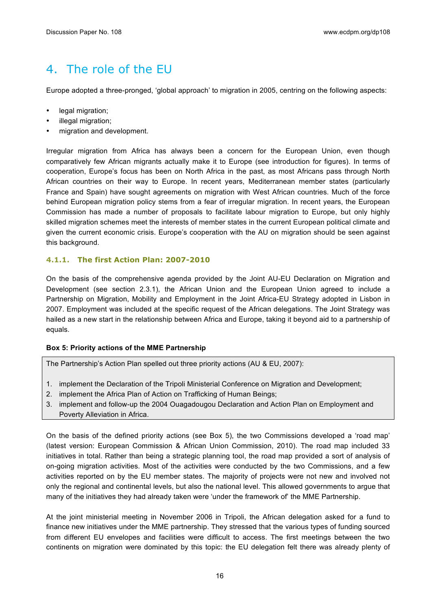## 4. The role of the EU

Europe adopted a three-pronged, 'global approach' to migration in 2005, centring on the following aspects:

- legal migration:
- illegal migration;
- migration and development.

Irregular migration from Africa has always been a concern for the European Union, even though comparatively few African migrants actually make it to Europe (see introduction for figures). In terms of cooperation, Europe's focus has been on North Africa in the past, as most Africans pass through North African countries on their way to Europe. In recent years, Mediterranean member states (particularly France and Spain) have sought agreements on migration with West African countries. Much of the force behind European migration policy stems from a fear of irregular migration. In recent years, the European Commission has made a number of proposals to facilitate labour migration to Europe, but only highly skilled migration schemes meet the interests of member states in the current European political climate and given the current economic crisis. Europe's cooperation with the AU on migration should be seen against this background.

#### **4.1.1. The first Action Plan: 2007-2010**

On the basis of the comprehensive agenda provided by the Joint AU-EU Declaration on Migration and Development (see section 2.3.1), the African Union and the European Union agreed to include a Partnership on Migration, Mobility and Employment in the Joint Africa-EU Strategy adopted in Lisbon in 2007. Employment was included at the specific request of the African delegations. The Joint Strategy was hailed as a new start in the relationship between Africa and Europe, taking it beyond aid to a partnership of equals.

#### **Box 5: Priority actions of the MME Partnership**

The Partnership's Action Plan spelled out three priority actions (AU & EU, 2007):

- 1. implement the Declaration of the Tripoli Ministerial Conference on Migration and Development;
- 2. implement the Africa Plan of Action on Trafficking of Human Beings;
- 3. implement and follow-up the 2004 Ouagadougou Declaration and Action Plan on Employment and Poverty Alleviation in Africa.

On the basis of the defined priority actions (see Box 5), the two Commissions developed a 'road map' (latest version: European Commission & African Union Commission, 2010). The road map included 33 initiatives in total. Rather than being a strategic planning tool, the road map provided a sort of analysis of on-going migration activities. Most of the activities were conducted by the two Commissions, and a few activities reported on by the EU member states. The majority of projects were not new and involved not only the regional and continental levels, but also the national level. This allowed governments to argue that many of the initiatives they had already taken were 'under the framework of' the MME Partnership.

At the joint ministerial meeting in November 2006 in Tripoli, the African delegation asked for a fund to finance new initiatives under the MME partnership. They stressed that the various types of funding sourced from different EU envelopes and facilities were difficult to access. The first meetings between the two continents on migration were dominated by this topic: the EU delegation felt there was already plenty of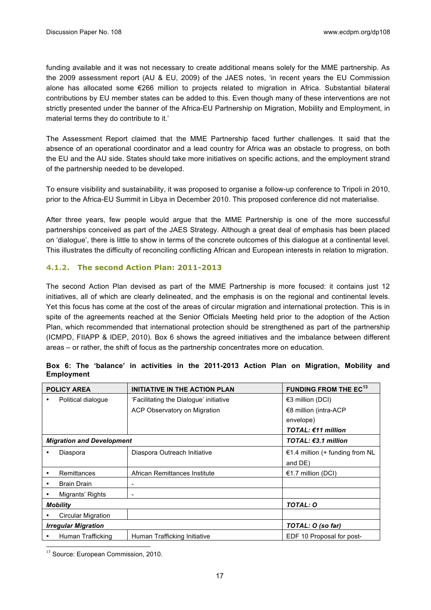funding available and it was not necessary to create additional means solely for the MME partnership. As the 2009 assessment report (AU & EU, 2009) of the JAES notes, 'in recent years the EU Commission alone has allocated some €266 million to projects related to migration in Africa. Substantial bilateral contributions by EU member states can be added to this. Even though many of these interventions are not strictly presented under the banner of the Africa-EU Partnership on Migration, Mobility and Employment, in material terms they do contribute to it.'

The Assessment Report claimed that the MME Partnership faced further challenges. It said that the absence of an operational coordinator and a lead country for Africa was an obstacle to progress, on both the EU and the AU side. States should take more initiatives on specific actions, and the employment strand of the partnership needed to be developed.

To ensure visibility and sustainability, it was proposed to organise a follow-up conference to Tripoli in 2010, prior to the Africa-EU Summit in Libya in December 2010. This proposed conference did not materialise.

After three years, few people would argue that the MME Partnership is one of the more successful partnerships conceived as part of the JAES Strategy. Although a great deal of emphasis has been placed on 'dialogue', there is little to show in terms of the concrete outcomes of this dialogue at a continental level. This illustrates the difficulty of reconciling conflicting African and European interests in relation to migration.

#### **4.1.2. The second Action Plan: 2011-2013**

The second Action Plan devised as part of the MME Partnership is more focused: it contains just 12 initiatives, all of which are clearly delineated, and the emphasis is on the regional and continental levels. Yet this focus has come at the cost of the areas of circular migration and international protection. This is in spite of the agreements reached at the Senior Officials Meeting held prior to the adoption of the Action Plan, which recommended that international protection should be strengthened as part of the partnership (ICMPD, FIIAPP & IDEP, 2010). Box 6 shows the agreed initiatives and the imbalance between different areas – or rather, the shift of focus as the partnership concentrates more on education.

|   | <b>POLICY AREA</b>               | <b>INITIATIVE IN THE ACTION PLAN</b>   | <b>FUNDING FROM THE EC13</b>    |
|---|----------------------------------|----------------------------------------|---------------------------------|
| ٠ | Political dialogue               | 'Facilitating the Dialogue' initiative | €3 million (DCI)                |
|   |                                  | ACP Observatory on Migration           | €8 million (intra-ACP           |
|   |                                  |                                        | envelope)                       |
|   |                                  |                                        | <b>TOTAL: €11 million</b>       |
|   | <b>Migration and Development</b> |                                        | TOTAL: $€3.1$ million           |
| ٠ | Diaspora                         | Diaspora Outreach Initiative           | €1.4 million (+ funding from NL |
|   |                                  |                                        | and DE)                         |
| ٠ | Remittances                      | African Remittances Institute          | €1.7 million (DCI)              |
|   | <b>Brain Drain</b>               |                                        |                                 |
|   | Migrants' Rights                 |                                        |                                 |
|   | <b>Mobility</b>                  |                                        | <b>TOTAL: O</b>                 |
|   | <b>Circular Migration</b>        |                                        |                                 |
|   | <b>Irregular Migration</b>       | TOTAL: O (so far)                      |                                 |
|   | Human Trafficking                | Human Trafficking Initiative           | EDF 10 Proposal for post-       |

|  |                   |  |  | Box 6: The 'balance' in activities in the 2011-2013 Action Plan on Migration, Mobility and |  |  |  |
|--|-------------------|--|--|--------------------------------------------------------------------------------------------|--|--|--|
|  | <b>Employment</b> |  |  |                                                                                            |  |  |  |

<sup>13</sup> Source: European Commission, 2010.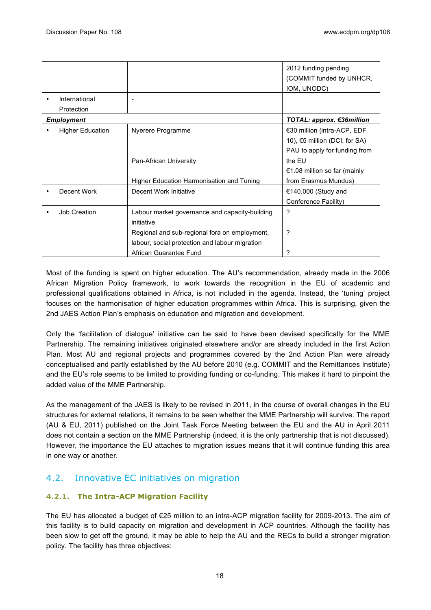|           |                         |                                                | 2012 funding pending<br>(COMMIT funded by UNHCR, |
|-----------|-------------------------|------------------------------------------------|--------------------------------------------------|
| $\bullet$ | International           |                                                | IOM, UNODC)                                      |
|           | Protection              |                                                |                                                  |
|           | <b>Employment</b>       |                                                | TOTAL: approx. €36million                        |
|           | <b>Higher Education</b> | Nyerere Programme                              | €30 million (intra-ACP, EDF                      |
|           |                         |                                                | 10), $65$ million (DCI, for SA)                  |
|           |                         |                                                | PAU to apply for funding from                    |
|           |                         | Pan-African University                         | the EU                                           |
|           |                         |                                                | €1.08 million so far (mainly                     |
|           |                         | Higher Education Harmonisation and Tuning      | from Erasmus Mundus)                             |
|           | Decent Work             | Decent Work Initiative                         | €140,000 (Study and                              |
|           |                         |                                                | Conference Facility)                             |
|           | Job Creation            | Labour market governance and capacity-building | ?                                                |
|           |                         | initiative                                     |                                                  |
|           |                         | Regional and sub-regional fora on employment,  | ?                                                |
|           |                         | labour, social protection and labour migration |                                                  |
|           |                         | African Guarantee Fund                         | ?                                                |

Most of the funding is spent on higher education. The AU's recommendation, already made in the 2006 African Migration Policy framework, to work towards the recognition in the EU of academic and professional qualifications obtained in Africa, is not included in the agenda. Instead, the 'tuning' project focuses on the harmonisation of higher education programmes within Africa. This is surprising, given the 2nd JAES Action Plan's emphasis on education and migration and development.

Only the 'facilitation of dialogue' initiative can be said to have been devised specifically for the MME Partnership. The remaining initiatives originated elsewhere and/or are already included in the first Action Plan. Most AU and regional projects and programmes covered by the 2nd Action Plan were already conceptualised and partly established by the AU before 2010 (e.g. COMMIT and the Remittances Institute) and the EU's role seems to be limited to providing funding or co-funding. This makes it hard to pinpoint the added value of the MME Partnership.

As the management of the JAES is likely to be revised in 2011, in the course of overall changes in the EU structures for external relations, it remains to be seen whether the MME Partnership will survive. The report (AU & EU, 2011) published on the Joint Task Force Meeting between the EU and the AU in April 2011 does not contain a section on the MME Partnership (indeed, it is the only partnership that is not discussed). However, the importance the EU attaches to migration issues means that it will continue funding this area in one way or another.

#### 4.2. Innovative EC initiatives on migration

#### **4.2.1. The Intra-ACP Migration Facility**

The EU has allocated a budget of €25 million to an intra-ACP migration facility for 2009-2013. The aim of this facility is to build capacity on migration and development in ACP countries. Although the facility has been slow to get off the ground, it may be able to help the AU and the RECs to build a stronger migration policy. The facility has three objectives: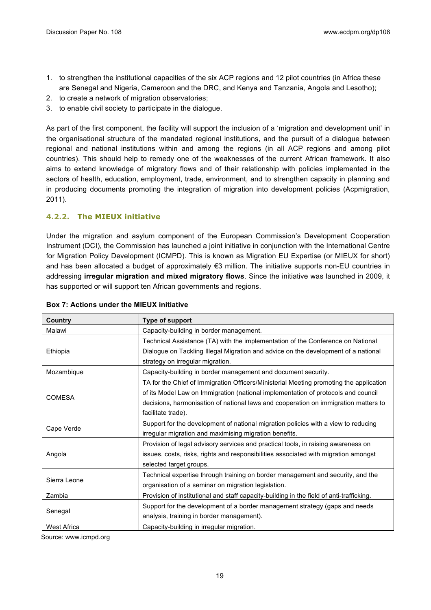- 1. to strengthen the institutional capacities of the six ACP regions and 12 pilot countries (in Africa these are Senegal and Nigeria, Cameroon and the DRC, and Kenya and Tanzania, Angola and Lesotho);
- 2. to create a network of migration observatories;
- 3. to enable civil society to participate in the dialogue.

As part of the first component, the facility will support the inclusion of a 'migration and development unit' in the organisational structure of the mandated regional institutions, and the pursuit of a dialogue between regional and national institutions within and among the regions (in all ACP regions and among pilot countries). This should help to remedy one of the weaknesses of the current African framework. It also aims to extend knowledge of migratory flows and of their relationship with policies implemented in the sectors of health, education, employment, trade, environment, and to strengthen capacity in planning and in producing documents promoting the integration of migration into development policies (Acpmigration, 2011).

#### **4.2.2. The MIEUX initiative**

Under the migration and asylum component of the European Commission's Development Cooperation Instrument (DCI), the Commission has launched a joint initiative in conjunction with the International Centre for Migration Policy Development (ICMPD). This is known as Migration EU Expertise (or MIEUX for short) and has been allocated a budget of approximately €3 million. The initiative supports non-EU countries in addressing **irregular migration and mixed migratory flows**. Since the initiative was launched in 2009, it has supported or will support ten African governments and regions.

| Country            | Type of support                                                                                                                                                                                                                                                                          |  |  |  |  |
|--------------------|------------------------------------------------------------------------------------------------------------------------------------------------------------------------------------------------------------------------------------------------------------------------------------------|--|--|--|--|
| Malawi             | Capacity-building in border management.                                                                                                                                                                                                                                                  |  |  |  |  |
| Ethiopia           | Technical Assistance (TA) with the implementation of the Conference on National<br>Dialogue on Tackling Illegal Migration and advice on the development of a national<br>strategy on irregular migration.                                                                                |  |  |  |  |
| Mozambique         | Capacity-building in border management and document security.                                                                                                                                                                                                                            |  |  |  |  |
| <b>COMESA</b>      | TA for the Chief of Immigration Officers/Ministerial Meeting promoting the application<br>of its Model Law on Immigration (national implementation of protocols and council<br>decisions, harmonisation of national laws and cooperation on immigration matters to<br>facilitate trade). |  |  |  |  |
| Cape Verde         | Support for the development of national migration policies with a view to reducing<br>irregular migration and maximising migration benefits.                                                                                                                                             |  |  |  |  |
| Angola             | Provision of legal advisory services and practical tools, in raising awareness on<br>issues, costs, risks, rights and responsibilities associated with migration amongst<br>selected target groups.                                                                                      |  |  |  |  |
| Sierra Leone       | Technical expertise through training on border management and security, and the<br>organisation of a seminar on migration legislation.                                                                                                                                                   |  |  |  |  |
| Zambia             | Provision of institutional and staff capacity-building in the field of anti-trafficking.                                                                                                                                                                                                 |  |  |  |  |
| Senegal            | Support for the development of a border management strategy (gaps and needs<br>analysis, training in border management).                                                                                                                                                                 |  |  |  |  |
| <b>West Africa</b> | Capacity-building in irregular migration.                                                                                                                                                                                                                                                |  |  |  |  |

#### **Box 7: Actions under the MIEUX initiative**

Source: www.icmpd.org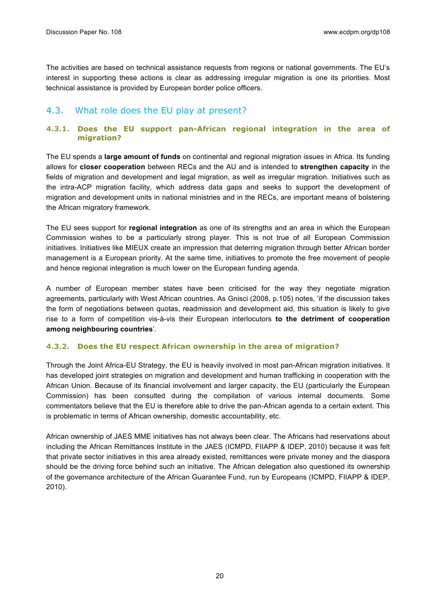The activities are based on technical assistance requests from regions or national governments. The EU's interest in supporting these actions is clear as addressing irregular migration is one its priorities. Most technical assistance is provided by European border police officers.

#### 4.3. What role does the EU play at present?

#### **4.3.1. Does the EU support pan-African regional integration in the area of migration?**

The EU spends a **large amount of funds** on continental and regional migration issues in Africa. Its funding allows for **closer cooperation** between RECs and the AU and is intended to **strengthen capacity** in the fields of migration and development and legal migration, as well as irregular migration. Initiatives such as the intra-ACP migration facility, which address data gaps and seeks to support the development of migration and development units in national ministries and in the RECs, are important means of bolstering the African migratory framework.

The EU sees support for **regional integration** as one of its strengths and an area in which the European Commission wishes to be a particularly strong player. This is not true of all European Commission initiatives. Initiatives like MIEUX create an impression that deterring migration through better African border management is a European priority. At the same time, initiatives to promote the free movement of people and hence regional integration is much lower on the European funding agenda.

A number of European member states have been criticised for the way they negotiate migration agreements, particularly with West African countries. As Gnisci (2008, p.105) notes, 'if the discussion takes the form of negotiations between quotas, readmission and development aid, this situation is likely to give rise to a form of competition vis-à-vis their European interlocutors **to the detriment of cooperation among neighbouring countries**'.

#### **4.3.2. Does the EU respect African ownership in the area of migration?**

Through the Joint Africa-EU Strategy, the EU is heavily involved in most pan-African migration initiatives. It has developed joint strategies on migration and development and human trafficking in cooperation with the African Union. Because of its financial involvement and larger capacity, the EU (particularly the European Commission) has been consulted during the compilation of various internal documents. Some commentators believe that the EU is therefore able to drive the pan-African agenda to a certain extent. This is problematic in terms of African ownership, domestic accountability, etc.

African ownership of JAES MME initiatives has not always been clear. The Africans had reservations about including the African Remittances Institute in the JAES (ICMPD, FIIAPP & IDEP, 2010) because it was felt that private sector initiatives in this area already existed, remittances were private money and the diaspora should be the driving force behind such an initiative. The African delegation also questioned its ownership of the governance architecture of the African Guarantee Fund, run by Europeans (ICMPD, FIIAPP & IDEP, 2010).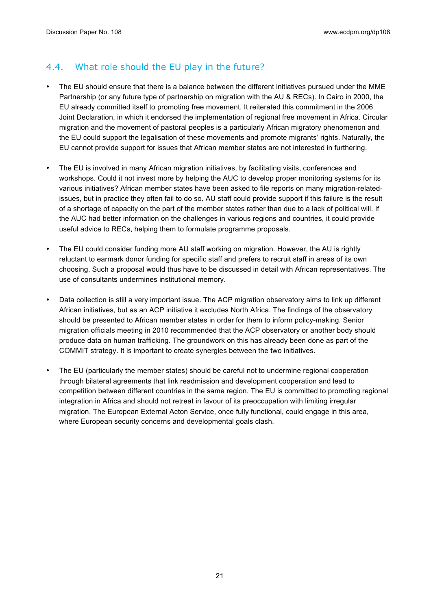#### 4.4. What role should the EU play in the future?

- The EU should ensure that there is a balance between the different initiatives pursued under the MME Partnership (or any future type of partnership on migration with the AU & RECs). In Cairo in 2000, the EU already committed itself to promoting free movement. It reiterated this commitment in the 2006 Joint Declaration, in which it endorsed the implementation of regional free movement in Africa. Circular migration and the movement of pastoral peoples is a particularly African migratory phenomenon and the EU could support the legalisation of these movements and promote migrants' rights. Naturally, the EU cannot provide support for issues that African member states are not interested in furthering.
- The EU is involved in many African migration initiatives, by facilitating visits, conferences and workshops. Could it not invest more by helping the AUC to develop proper monitoring systems for its various initiatives? African member states have been asked to file reports on many migration-relatedissues, but in practice they often fail to do so. AU staff could provide support if this failure is the result of a shortage of capacity on the part of the member states rather than due to a lack of political will. If the AUC had better information on the challenges in various regions and countries, it could provide useful advice to RECs, helping them to formulate programme proposals.
- The EU could consider funding more AU staff working on migration. However, the AU is rightly reluctant to earmark donor funding for specific staff and prefers to recruit staff in areas of its own choosing. Such a proposal would thus have to be discussed in detail with African representatives. The use of consultants undermines institutional memory.
- Data collection is still a very important issue. The ACP migration observatory aims to link up different African initiatives, but as an ACP initiative it excludes North Africa. The findings of the observatory should be presented to African member states in order for them to inform policy-making. Senior migration officials meeting in 2010 recommended that the ACP observatory or another body should produce data on human trafficking. The groundwork on this has already been done as part of the COMMIT strategy. It is important to create synergies between the two initiatives.
- The EU (particularly the member states) should be careful not to undermine regional cooperation through bilateral agreements that link readmission and development cooperation and lead to competition between different countries in the same region. The EU is committed to promoting regional integration in Africa and should not retreat in favour of its preoccupation with limiting irregular migration. The European External Acton Service, once fully functional, could engage in this area, where European security concerns and developmental goals clash.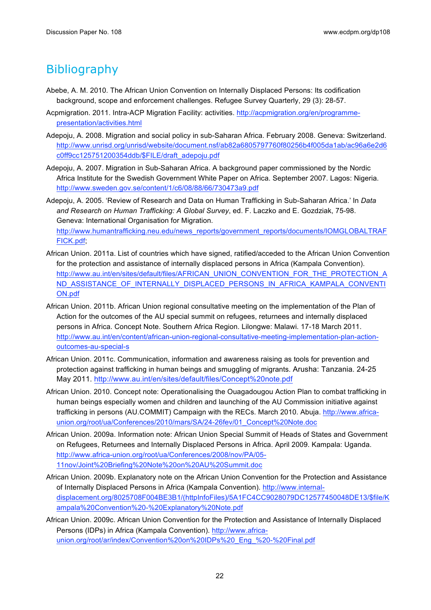### **Bibliography**

- Abebe, A. M. 2010. The African Union Convention on Internally Displaced Persons: Its codification background, scope and enforcement challenges. Refugee Survey Quarterly, 29 (3): 28-57.
- Acpmigration. 2011. Intra-ACP Migration Facility: activities. http://acpmigration.org/en/programmepresentation/activities.html
- Adepoju, A. 2008. Migration and social policy in sub-Saharan Africa. February 2008. Geneva: Switzerland. http://www.unrisd.org/unrisd/website/document.nsf/ab82a6805797760f80256b4f005da1ab/ac96a6e2d6 c0ff9cc125751200354ddb/\$FILE/draft\_adepoju.pdf
- Adepoju, A. 2007. Migration in Sub-Saharan Africa. A background paper commissioned by the Nordic Africa Institute for the Swedish Government White Paper on Africa. September 2007. Lagos: Nigeria. http://www.sweden.gov.se/content/1/c6/08/88/66/730473a9.pdf
- Adepoju, A. 2005. 'Review of Research and Data on Human Trafficking in Sub-Saharan Africa.' In *Data and Research on Human Trafficking: A Global Survey*, ed. F. Laczko and E. Gozdziak, 75-98. Geneva: International Organisation for Migration. http://www.humantrafficking.neu.edu/news\_reports/government\_reports/documents/IOMGLOBALTRAF FICK.pdf;
- African Union. 2011a. List of countries which have signed, ratified/acceded to the African Union Convention for the protection and assistance of internally displaced persons in Africa (Kampala Convention). http://www.au.int/en/sites/default/files/AFRICAN\_UNION\_CONVENTION\_FOR\_THE\_PROTECTION\_A ND\_ASSISTANCE\_OF\_INTERNALLY\_DISPLACED\_PERSONS\_IN\_AFRICA\_KAMPALA\_CONVENTI ON.pdf
- African Union. 2011b. African Union regional consultative meeting on the implementation of the Plan of Action for the outcomes of the AU special summit on refugees, returnees and internally displaced persons in Africa. Concept Note. Southern Africa Region. Lilongwe: Malawi. 17-18 March 2011. http://www.au.int/en/content/african-union-regional-consultative-meeting-implementation-plan-actionoutcomes-au-special-s
- African Union. 2011c. Communication, information and awareness raising as tools for prevention and protection against trafficking in human beings and smuggling of migrants. Arusha: Tanzania. 24-25 May 2011. http://www.au.int/en/sites/default/files/Concept%20note.pdf
- African Union. 2010. Concept note: Operationalising the Ouagadougou Action Plan to combat trafficking in human beings especially women and children and launching of the AU Commission initiative against trafficking in persons (AU.COMMIT) Campaign with the RECs. March 2010. Abuja. http://www.africaunion.org/root/ua/Conferences/2010/mars/SA/24-26fev/01\_Concept%20Note.doc
- African Union. 2009a. Information note: African Union Special Summit of Heads of States and Government on Refugees, Returnees and Internally Displaced Persons in Africa. April 2009. Kampala: Uganda. http://www.africa-union.org/root/ua/Conferences/2008/nov/PA/05- 11nov/Joint%20Briefing%20Note%20on%20AU%20Summit.doc
- African Union. 2009b. Explanatory note on the African Union Convention for the Protection and Assistance of Internally Displaced Persons in Africa (Kampala Convention). http://www.internaldisplacement.org/8025708F004BE3B1/(httpInfoFiles)/5A1FC4CC9028079DC12577450048DE13/\$file/K ampala%20Convention%20-%20Explanatory%20Note.pdf
- African Union. 2009c. African Union Convention for the Protection and Assistance of Internally Displaced Persons (IDPs) in Africa (Kampala Convention). http://www.africaunion.org/root/ar/index/Convention%20on%20IDPs%20\_Eng\_%20-%20Final.pdf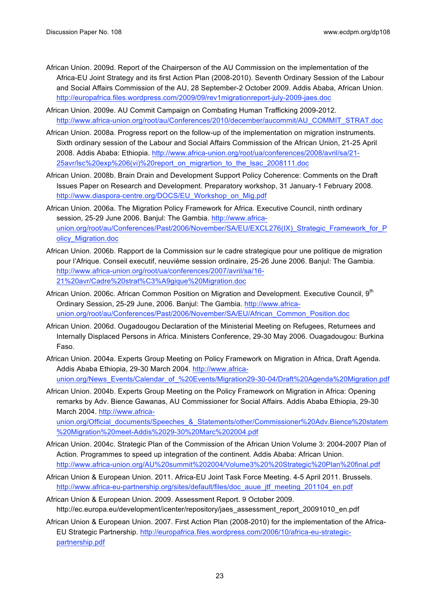- African Union. 2009d. Report of the Chairperson of the AU Commission on the implementation of the Africa-EU Joint Strategy and its first Action Plan (2008-2010). Seventh Ordinary Session of the Labour and Social Affairs Commission of the AU, 28 September-2 October 2009. Addis Ababa, African Union. http://europafrica.files.wordpress.com/2009/09/rev1migrationreport-july-2009-jaes.doc
- African Union. 2009e. AU Commit Campaign on Combating Human Trafficking 2009-2012. http://www.africa-union.org/root/au/Conferences/2010/december/aucommit/AU\_COMMIT\_STRAT.doc
- African Union. 2008a. Progress report on the follow-up of the implementation on migration instruments. Sixth ordinary session of the Labour and Social Affairs Commission of the African Union, 21-25 April 2008. Addis Ababa: Ethiopia. http://www.africa-union.org/root/ua/conferences/2008/avril/sa/21- 25avr/lsc%20exp%206(vi)%20report\_on\_migrartion\_to\_the\_lsac\_2008111.doc
- African Union. 2008b. Brain Drain and Development Support Policy Coherence: Comments on the Draft Issues Paper on Research and Development. Preparatory workshop, 31 January-1 February 2008. http://www.diaspora-centre.org/DOCS/EU\_Workshop\_on\_Mig.pdf
- African Union. 2006a. The Migration Policy Framework for Africa. Executive Council, ninth ordinary session, 25-29 June 2006. Banjul: The Gambia. http://www.africaunion.org/root/au/Conferences/Past/2006/November/SA/EU/EXCL276(IX) Strategic\_Framework\_for\_P olicy\_Migration.doc
- African Union. 2006b. Rapport de la Commission sur le cadre strategique pour une politique de migration pour l'Afrique. Conseil executif, neuvième session ordinaire, 25-26 June 2006. Banjul: The Gambia. http://www.africa-union.org/root/ua/conferences/2007/avril/sa/16- 21%20avr/Cadre%20strat%C3%A9gique%20Migration.doc
- African Union. 2006c. African Common Position on Migration and Development. Executive Council, 9<sup>th</sup> Ordinary Session, 25-29 June, 2006. Banjul: The Gambia. http://www.africaunion.org/root/au/Conferences/Past/2006/November/SA/EU/African\_Common\_Position.doc
- African Union. 2006d. Ougadougou Declaration of the Ministerial Meeting on Refugees, Returnees and Internally Displaced Persons in Africa. Ministers Conference, 29-30 May 2006. Ouagadougou: Burkina Faso.
- African Union. 2004a. Experts Group Meeting on Policy Framework on Migration in Africa, Draft Agenda. Addis Ababa Ethiopia, 29-30 March 2004. http://www.africaunion.org/News\_Events/Calendar\_of\_%20Events/Migration29-30-04/Draft%20Agenda%20Migration.pdf
- African Union. 2004b. Experts Group Meeting on the Policy Framework on Migration in Africa: Opening remarks by Adv. Bience Gawanas, AU Commissioner for Social Affairs. Addis Ababa Ethiopia, 29-30 March 2004. http://www.africa-

union.org/Official\_documents/Speeches\_&\_Statements/other/Commissioner%20Adv.Bience%20statem %20Migration%20meet-Addis%2029-30%20Marc%202004.pdf

- African Union. 2004c. Strategic Plan of the Commission of the African Union Volume 3: 2004-2007 Plan of Action. Programmes to speed up integration of the continent. Addis Ababa: African Union. http://www.africa-union.org/AU%20summit%202004/Volume3%20%20Strategic%20Plan%20final.pdf
- African Union & European Union. 2011. Africa-EU Joint Task Force Meeting. 4-5 April 2011. Brussels. http://www.africa-eu-partnership.org/sites/default/files/doc\_auue\_jtf\_meeting\_201104\_en.pdf
- African Union & European Union. 2009. Assessment Report. 9 October 2009. http://ec.europa.eu/development/icenter/repository/jaes\_assessment\_report\_20091010\_en.pdf
- African Union & European Union. 2007. First Action Plan (2008-2010) for the implementation of the Africa-EU Strategic Partnership. http://europafrica.files.wordpress.com/2006/10/africa-eu-strategicpartnership.pdf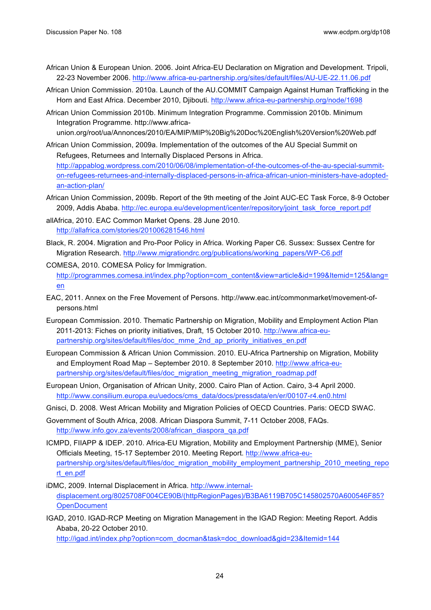- African Union & European Union. 2006. Joint Africa-EU Declaration on Migration and Development. Tripoli, 22-23 November 2006. http://www.africa-eu-partnership.org/sites/default/files/AU-UE-22.11.06.pdf
- African Union Commission. 2010a. Launch of the AU.COMMIT Campaign Against Human Trafficking in the Horn and East Africa. December 2010, Djibouti. http://www.africa-eu-partnership.org/node/1698
- African Union Commission 2010b. Minimum Integration Programme. Commission 2010b. Minimum Integration Programme. http://www.africaunion.org/root/ua/Annonces/2010/EA/MIP/MIP%20Big%20Doc%20English%20Version%20Web.pdf
- African Union Commission, 2009a. Implementation of the outcomes of the AU Special Summit on Refugees, Returnees and Internally Displaced Persons in Africa. http://appablog.wordpress.com/2010/06/08/implementation-of-the-outcomes-of-the-au-special-summiton-refugees-returnees-and-internally-displaced-persons-in-africa-african-union-ministers-have-adoptedan-action-plan/
- African Union Commission, 2009b. Report of the 9th meeting of the Joint AUC-EC Task Force, 8-9 October 2009, Addis Ababa. http://ec.europa.eu/development/icenter/repository/joint\_task\_force\_report.pdf
- allAfrica, 2010. EAC Common Market Opens. 28 June 2010. http://allafrica.com/stories/201006281546.html
- Black, R. 2004. Migration and Pro-Poor Policy in Africa. Working Paper C6. Sussex: Sussex Centre for Migration Research. http://www.migrationdrc.org/publications/working\_papers/WP-C6.pdf
- COMESA, 2010. COMESA Policy for Immigration. http://programmes.comesa.int/index.php?option=com\_content&view=article&id=199&Itemid=125&lang= en
- EAC, 2011. Annex on the Free Movement of Persons. http://www.eac.int/commonmarket/movement-ofpersons.html
- European Commission. 2010. Thematic Partnership on Migration, Mobility and Employment Action Plan 2011-2013: Fiches on priority initiatives, Draft, 15 October 2010. http://www.africa-eupartnership.org/sites/default/files/doc\_mme\_2nd\_ap\_priority\_initiatives\_en.pdf
- European Commission & African Union Commission. 2010. EU-Africa Partnership on Migration, Mobility and Employment Road Map – September 2010. 8 September 2010. http://www.africa-eupartnership.org/sites/default/files/doc\_migration\_meeting\_migration\_roadmap.pdf
- European Union, Organisation of African Unity, 2000. Cairo Plan of Action. Cairo, 3-4 April 2000. http://www.consilium.europa.eu/uedocs/cms\_data/docs/pressdata/en/er/00107-r4.en0.html
- Gnisci, D. 2008. West African Mobility and Migration Policies of OECD Countries. Paris: OECD SWAC.
- Government of South Africa, 2008. African Diaspora Summit, 7-11 October 2008, FAQs. http://www.info.gov.za/events/2008/african\_diaspora\_qa.pdf
- ICMPD, FIIAPP & IDEP. 2010. Africa-EU Migration, Mobility and Employment Partnership (MME), Senior Officials Meeting, 15-17 September 2010. Meeting Report. http://www.africa-eupartnership.org/sites/default/files/doc\_migration\_mobility\_employment\_partnership\_2010\_meeting\_repo rt\_en.pdf
- iDMC, 2009. Internal Displacement in Africa. http://www.internaldisplacement.org/8025708F004CE90B/(httpRegionPages)/B3BA6119B705C145802570A600546F85? **OpenDocument**
- IGAD, 2010. IGAD-RCP Meeting on Migration Management in the IGAD Region: Meeting Report. Addis Ababa, 20-22 October 2010.

http://igad.int/index.php?option=com\_docman&task=doc\_download&gid=23&Itemid=144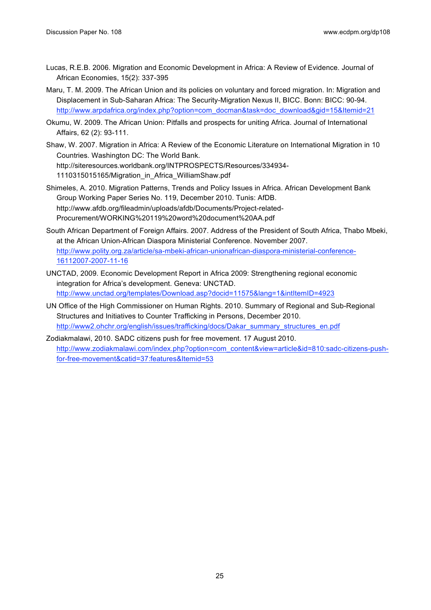- Lucas, R.E.B. 2006. Migration and Economic Development in Africa: A Review of Evidence. Journal of African Economies, 15(2): 337-395
- Maru, T. M. 2009. The African Union and its policies on voluntary and forced migration. In: Migration and Displacement in Sub-Saharan Africa: The Security-Migration Nexus II, BICC. Bonn: BICC: 90-94. http://www.arpdafrica.org/index.php?option=com\_docman&task=doc\_download&gid=15&Itemid=21
- Okumu, W. 2009. The African Union: Pitfalls and prospects for uniting Africa. Journal of International Affairs, 62 (2): 93-111.

Shaw, W. 2007. Migration in Africa: A Review of the Economic Literature on International Migration in 10 Countries. Washington DC: The World Bank. http://siteresources.worldbank.org/INTPROSPECTS/Resources/334934- 1110315015165/Migration\_in\_Africa\_WilliamShaw.pdf

- Shimeles, A. 2010. Migration Patterns, Trends and Policy Issues in Africa. African Development Bank Group Working Paper Series No. 119, December 2010. Tunis: AfDB. http://www.afdb.org/fileadmin/uploads/afdb/Documents/Project-related-Procurement/WORKING%20119%20word%20document%20AA.pdf
- South African Department of Foreign Affairs. 2007. Address of the President of South Africa, Thabo Mbeki, at the African Union-African Diaspora Ministerial Conference. November 2007. http://www.polity.org.za/article/sa-mbeki-african-unionafrican-diaspora-ministerial-conference-16112007-2007-11-16
- UNCTAD, 2009. Economic Development Report in Africa 2009: Strengthening regional economic integration for Africa's development. Geneva: UNCTAD. http://www.unctad.org/templates/Download.asp?docid=11575&lang=1&intItemID=4923
- UN Office of the High Commissioner on Human Rights. 2010. Summary of Regional and Sub-Regional Structures and Initiatives to Counter Trafficking in Persons, December 2010. http://www2.ohchr.org/english/issues/trafficking/docs/Dakar\_summary\_structures\_en.pdf
- Zodiakmalawi, 2010. SADC citizens push for free movement. 17 August 2010. http://www.zodiakmalawi.com/index.php?option=com\_content&view=article&id=810:sadc-citizens-pushfor-free-movement&catid=37:features&Itemid=53